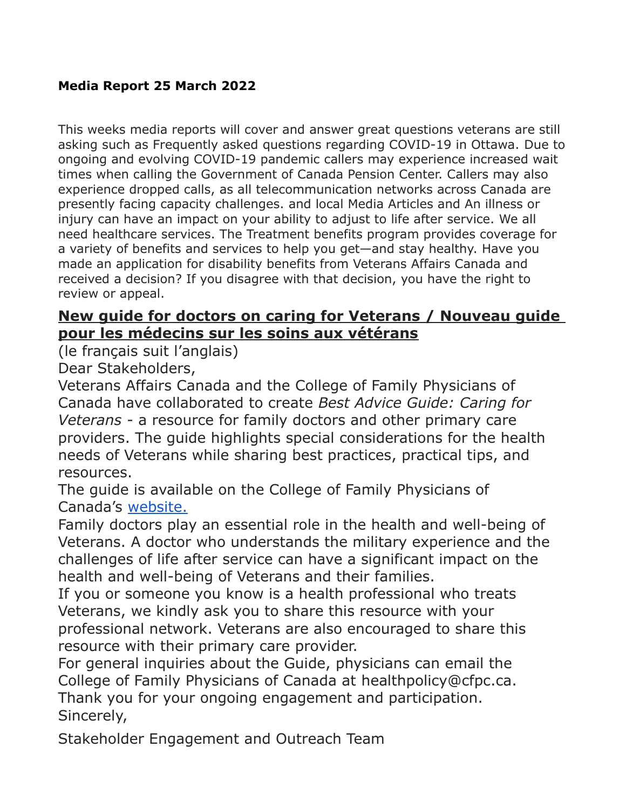### **Media Report 25 March 2022**

This weeks media reports will cover and answer great questions veterans are still asking such as Frequently asked questions regarding COVID-19 in Ottawa. Due to ongoing and evolving COVID-19 pandemic callers may experience increased wait times when calling the Government of Canada Pension Center. Callers may also experience dropped calls, as all telecommunication networks across Canada are presently facing capacity challenges. and local Media Articles and An illness or injury can have an impact on your ability to adjust to life after service. We all need healthcare services. The Treatment benefits program provides coverage for a variety of benefits and services to help you get—and stay healthy. Have you made an application for disability benefits from Veterans Affairs Canada and received a decision? If you disagree with that decision, you have the right to review or appeal.

# **New guide for doctors on caring for Veterans / Nouveau guide pour les médecins sur les soins aux vétérans**

(le français suit l'anglais)

Dear Stakeholders,

Veterans Affairs Canada and the College of Family Physicians of Canada have collaborated to create *Best Advice Guide: Caring for Veterans* - a resource for family doctors and other primary care providers. The guide highlights special considerations for the health needs of Veterans while sharing best practices, practical tips, and resources.

The guide is available on the College of Family Physicians of Canada's [website.](https://patientsmedicalhome.ca/files/uploads/Caring-for-veterans_BAG_ENG_Final-1.pdf)

Family doctors play an essential role in the health and well-being of Veterans. A doctor who understands the military experience and the challenges of life after service can have a significant impact on the health and well-being of Veterans and their families.

If you or someone you know is a health professional who treats Veterans, we kindly ask you to share this resource with your professional network. Veterans are also encouraged to share this resource with their primary care provider.

For general inquiries about the Guide, physicians can email the College of Family Physicians of Canada at healthpolicy@cfpc.ca. Thank you for your ongoing engagement and participation. Sincerely,

Stakeholder Engagement and Outreach Team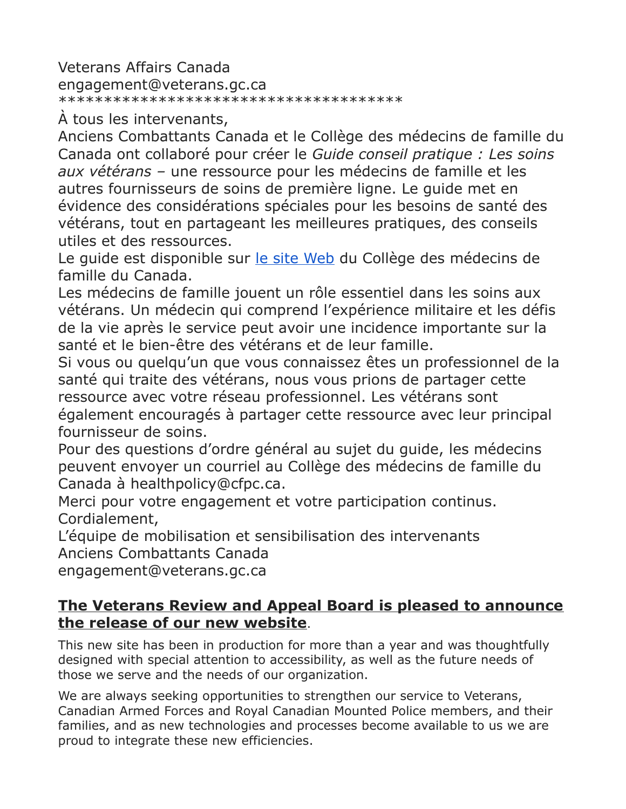Veterans Affairs Canada engagement@veterans.gc.ca \*\*\*\*\*\*\*\*\*\*\*\*\*\*\*\*\*\*\*\*\*\*\*\*\*\*\*\*\*\*\*\*\*\*\*\*\*\*

À tous les intervenants,

Anciens Combattants Canada et le Collège des médecins de famille du Canada ont collaboré pour créer le *Guide conseil pratique : Les soins aux vétérans –* une ressource pour les médecins de famille et les autres fournisseurs de soins de première ligne. Le guide met en évidence des considérations spéciales pour les besoins de santé des vétérans, tout en partageant les meilleures pratiques, des conseils utiles et des ressources.

Le guide est disponible sur [le site Web](https://patientsmedicalhome.ca/files/uploads/FRE_Caring-for-veteransBAG_Final_REM.pdf) du Collège des médecins de famille du Canada.

Les médecins de famille jouent un rôle essentiel dans les soins aux vétérans. Un médecin qui comprend l'expérience militaire et les défis de la vie après le service peut avoir une incidence importante sur la santé et le bien-être des vétérans et de leur famille.

Si vous ou quelqu'un que vous connaissez êtes un professionnel de la santé qui traite des vétérans, nous vous prions de partager cette ressource avec votre réseau professionnel. Les vétérans sont également encouragés à partager cette ressource avec leur principal fournisseur de soins.

Pour des questions d'ordre général au sujet du guide, les médecins peuvent envoyer un courriel au Collège des médecins de famille du Canada à healthpolicy@cfpc.ca.

Merci pour votre engagement et votre participation continus. Cordialement,

L'équipe de mobilisation et sensibilisation des intervenants

Anciens Combattants Canada

engagement@veterans.gc.ca

# **The Veterans Review and Appeal Board is pleased to announce the release of our new website**.

This new site has been in production for more than a year and was thoughtfully designed with special attention to accessibility, as well as the future needs of those we serve and the needs of our organization.

We are always seeking opportunities to strengthen our service to Veterans, Canadian Armed Forces and Royal Canadian Mounted Police members, and their families, and as new technologies and processes become available to us we are proud to integrate these new efficiencies.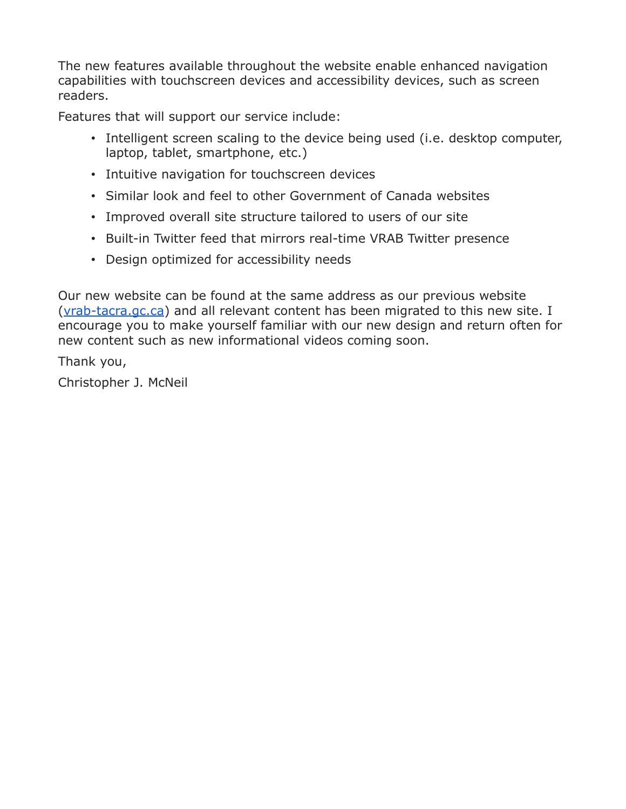The new features available throughout the website enable enhanced navigation capabilities with touchscreen devices and accessibility devices, such as screen readers.

Features that will support our service include:

- Intelligent screen scaling to the device being used (i.e. desktop computer, laptop, tablet, smartphone, etc.)
- Intuitive navigation for touchscreen devices
- Similar look and feel to other Government of Canada websites
- Improved overall site structure tailored to users of our site
- Built-in Twitter feed that mirrors real-time VRAB Twitter presence
- Design optimized for accessibility needs

Our new website can be found at the same address as our previous website [\(vrab-tacra.gc.ca\)](http://vrab-tacra.gc.ca/) and all relevant content has been migrated to this new site. I encourage you to make yourself familiar with our new design and return often for new content such as new informational videos coming soon.

Thank you,

Christopher J. McNeil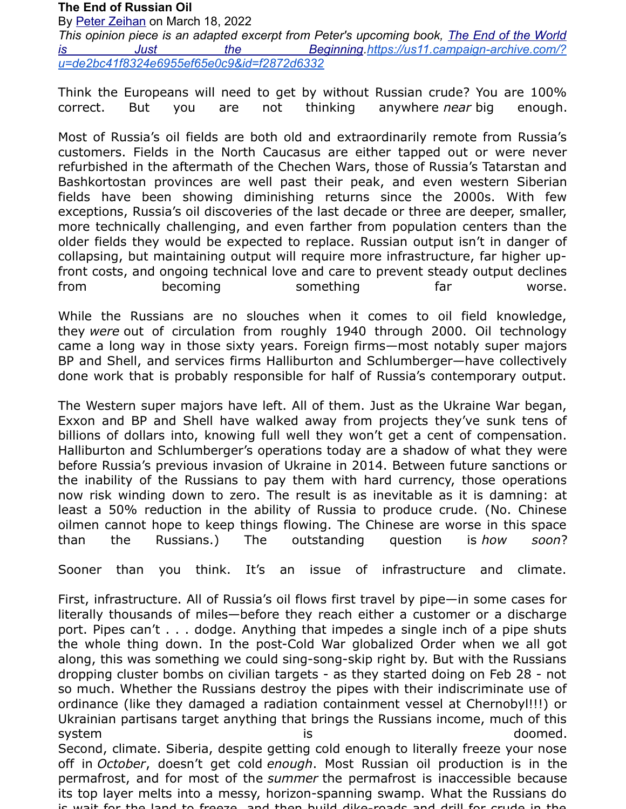#### **The End of Russian Oil**

By [Peter Zeihan](https://zeihan.us11.list-manage.com/track/click?u=de2bc41f8324e6955ef65e0c9&id=8f1c8e34ea&e=b3a49bf411) on March 18, 2022 *This opinion piece is an adapted excerpt from Peter's upcoming book, [The End of the World](https://zeihan.us11.list-manage.com/track/click?u=de2bc41f8324e6955ef65e0c9&id=31c3dde774&e=b3a49bf411) [is Just the Beginning](https://zeihan.us11.list-manage.com/track/click?u=de2bc41f8324e6955ef65e0c9&id=31c3dde774&e=b3a49bf411)[.https://us11.campaign-archive.com/?](https://us11.campaign-archive.com/?u=de2bc41f8324e6955ef65e0c9&id=f2872d6332) [u=de2bc41f8324e6955ef65e0c9&id=f2872d6332](https://us11.campaign-archive.com/?u=de2bc41f8324e6955ef65e0c9&id=f2872d6332)*

Think the Europeans will need to get by without Russian crude? You are 100% correct. But you are not thinking anywhere *near* big enough.

Most of Russia's oil fields are both old and extraordinarily remote from Russia's customers. Fields in the North Caucasus are either tapped out or were never refurbished in the aftermath of the Chechen Wars, those of Russia's Tatarstan and Bashkortostan provinces are well past their peak, and even western Siberian fields have been showing diminishing returns since the 2000s. With few exceptions, Russia's oil discoveries of the last decade or three are deeper, smaller, more technically challenging, and even farther from population centers than the older fields they would be expected to replace. Russian output isn't in danger of collapsing, but maintaining output will require more infrastructure, far higher upfront costs, and ongoing technical love and care to prevent steady output declines from becoming something far worse.

While the Russians are no slouches when it comes to oil field knowledge, they *were* out of circulation from roughly 1940 through 2000. Oil technology came a long way in those sixty years. Foreign firms—most notably super majors BP and Shell, and services firms Halliburton and Schlumberger—have collectively done work that is probably responsible for half of Russia's contemporary output.

The Western super majors have left. All of them. Just as the Ukraine War began, Exxon and BP and Shell have walked away from projects they've sunk tens of billions of dollars into, knowing full well they won't get a cent of compensation. Halliburton and Schlumberger's operations today are a shadow of what they were before Russia's previous invasion of Ukraine in 2014. Between future sanctions or the inability of the Russians to pay them with hard currency, those operations now risk winding down to zero. The result is as inevitable as it is damning: at least a 50% reduction in the ability of Russia to produce crude. (No. Chinese oilmen cannot hope to keep things flowing. The Chinese are worse in this space than the Russians.) The outstanding question is *how soon*?

Sooner than you think. It's an issue of infrastructure and climate.

First, infrastructure. All of Russia's oil flows first travel by pipe—in some cases for literally thousands of miles—before they reach either a customer or a discharge port. Pipes can't . . . dodge. Anything that impedes a single inch of a pipe shuts the whole thing down. In the post-Cold War globalized Order when we all got along, this was something we could sing-song-skip right by. But with the Russians dropping cluster bombs on civilian targets - as they started doing on Feb 28 - not so much. Whether the Russians destroy the pipes with their indiscriminate use of ordinance (like they damaged a radiation containment vessel at Chernobyl!!!) or Ukrainian partisans target anything that brings the Russians income, much of this system is the system of the system of the system of the system of the system of the system of the system of the Second, climate. Siberia, despite getting cold enough to literally freeze your nose off in *October*, doesn't get cold *enough*. Most Russian oil production is in the permafrost, and for most of the *summer* the permafrost is inaccessible because its top layer melts into a messy, horizon-spanning swamp. What the Russians do is wait for the land to freeze, and then build dike-roads and drill for crude in the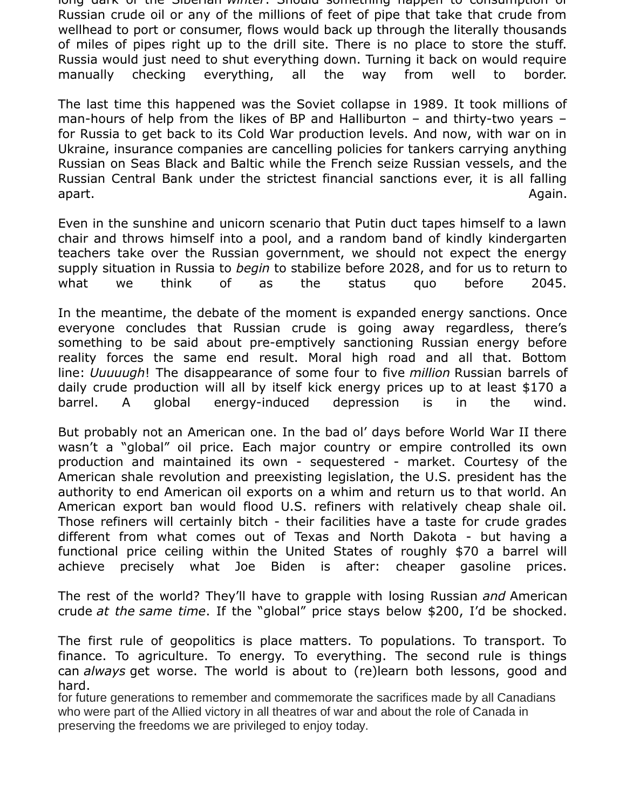**A group of Canadians is working to stop a proposed**  manually checking everything, all the way from well to border. **development of seaside condominiums at Juno Beach in**  long dark of the Siberian *winter*. Should something happen to consumption of Russian crude oil or any of the millions of feet of pipe that take that crude from wellhead to port or consumer, flows would back up through the literally thousands of miles of pipes right up to the drill site. There is no place to store the stuff. Russia would just need to shut everything down. Turning it back on would require

The last time this happened was the Soviet collapse in 1989. It took millions of man-hours of help from the likes of BP and Halliburton – and thirty-two years – for Russia to get back to its Cold War production levels. And now, with war on in Ukraine, insurance companies are cancelling policies for tankers carrying anything Russian on Seas Black and Baltic while the French seize Russian vessels, and the Russian Central Bank under the strictest financial sanctions ever, it is all falling soldiers who seized Juno Beach showed an extraordinary extraordinary extraordinary example of Canadian military skill, and the canadian military skill, and the canadian military skill, and the canadian military skill, and reinforced by countless acts of personal courage. There were 1,096 Canadian casualties that apart. Again.

Even in the sunshine and unicorn scenario that Putin duct tapes himself to a lawn Even in the sanshine and alleent secharis that ratin duct tapes immedited ratin.<br>chair and throws himself into a pool, and a random band of kindly kindergarten enall and throws immoch life a pool, and a random band or kindly kindergartent<br>teachers take over the Russian government, we should not expect the energy councis take over the Russian government, we should not expect the energy supply situation in Russia to *begin* to stabilize before 2028, and for us to return to<br>supply situation in Russia to *begin* to stabilize before 2028, and for us to return to to the routes the Status quo before zu<sup>4</sup>) what we think of as the status quo before 2045.

and army to liberate the people of France from the brutal predations of a vicious occupying In the meantime, the debate of the moment is expanded energy sanctions. Once everyone concludes that Russian crude is going away regardless, there's something to be said about pre-emptively sanctioning Russian energy before reality forces the same end result. Moral high road and all that. Bottom line: *Uuuuugh*! The disappearance of some four to five *million* Russian barrels of daily crude production will all by itself kick energy prices up to at least \$170 a barrel. A global energy-induced depression is in the wind.

But probably not an American one. In the bad ol' days before World War II there wasn't a "global" oil price. Each major country or empire controlled its own production and maintained its own - sequestered - market. Courtesy of the production and maintained its contre is a copies of a contribute course, or the developer is a control of the  $\mu$ anding the use of the product of the producting the section, the Star presedent that the drive<br>authority to end American oil exports on a whim and return us to that world. An discribing to the American on exports on a will had recent as to that world. All<br>American export ban would flood U.S. refiners with relatively cheap shale oil. American export ban would nood 0.9. Tenners with relativery eneap shale on:<br>Those refiners will certainly bitch - their facilities have a taste for crude grades dicapped entirely. different from what comes out of Texas and North Dakota - but having a functional price ceiling within the United States of roughly \$70 a barrel will achieve precisely what Joe Biden is after: cheaper gasoline prices.

liberate France and a continent on that day." She is urging Canadians to raise their voices to The rest of the world? They'll have to grapple with losing Russian *and* American crude at the same time. If the "global" price stays below \$200, I'd be shocked.

The first rule of geopolitics is place matters. To populations. To transport. To finance. To agriculture. To energy. To everything. The second rule is things can *always* get worse. The world is about to (re)learn both lessons, good and  $\mathsf{hard}$ , the developer the developer. Ultimately, the dream is to build a public memorial park  $\mathsf{hard}$ hard.

for future generations to remember and commemorate the sacrifices made by all Canadians who were part of the Allied victory in all theatres of war and about the role of Canada in preserving the freedoms we are privileged to enjoy today.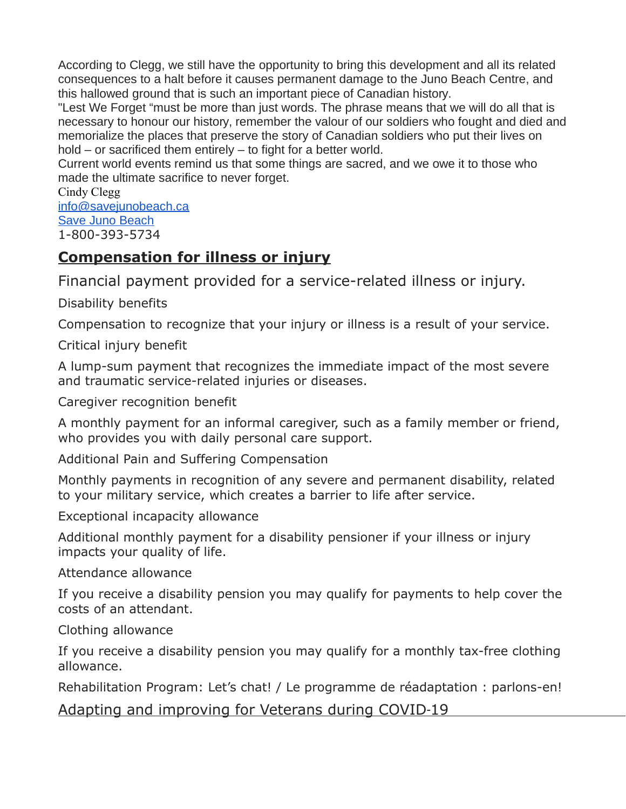According to Clegg, we still have the opportunity to bring this development and all its related consequences to a halt before it causes permanent damage to the Juno Beach Centre, and this hallowed ground that is such an important piece of Canadian history.

"Lest We Forget "must be more than just words. The phrase means that we will do all that is necessary to honour our history, remember the valour of our soldiers who fought and died and memorialize the places that preserve the story of Canadian soldiers who put their lives on hold – or sacrificed them entirely – to fight for a better world.

Current world events remind us that some things are sacred, and we owe it to those who made the ultimate sacrifice to never forget.

Cindy Clegg [info@savejunobeach.ca](mailto:info@savejunobeach.ca) [Save Juno Beach](https://www.savejunobeach.ca/) 1-800-393-5734

# **Compensation for illness or injury**

Financial payment provided for a service-related illness or injury.

Disability benefits

Compensation to recognize that your injury or illness is a result of your service.

Critical injury benefit

A lump-sum payment that recognizes the immediate impact of the most severe and traumatic service-related injuries or diseases.

Caregiver recognition benefit

A monthly payment for an informal caregiver, such as a family member or friend, who provides you with daily personal care support.

Additional Pain and Suffering Compensation

Monthly payments in recognition of any severe and permanent disability, related to your military service, which creates a barrier to life after service.

Exceptional incapacity allowance

Additional monthly payment for a disability pensioner if your illness or injury impacts your quality of life.

Attendance allowance

If you receive a disability pension you may qualify for payments to help cover the costs of an attendant.

Clothing allowance

If you receive a disability pension you may qualify for a monthly tax-free clothing allowance.

Rehabilitation Program: Let's chat! / Le programme de réadaptation : parlons-en!

Adapting and improving for Veterans during COVID 19 ‐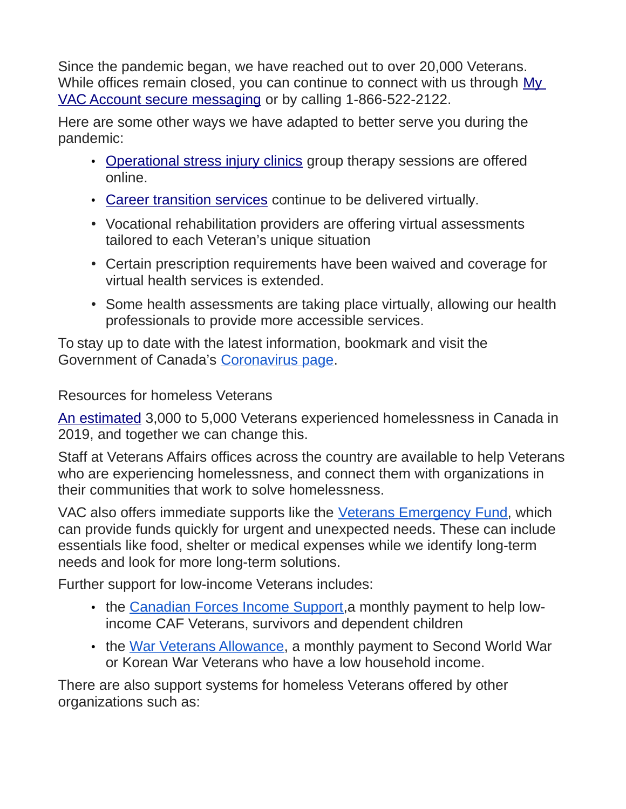Since the pandemic began, we have reached out to over 20,000 Veterans. While offices remain closed, you can continue to connect with us through My [VAC Account secure messaging](https://emails.engagementhq.com/ls/click?upn=9vcdD193qA8wVAWAMcxkDVIHwbevMrQOoPXLdn6t48rFhdYDTIA9fjgnOPd4MYwVAGTs1F8DICke3VPBGUu4-2BGcOCTrOydFFCCGegk5QUMQ5AO-2FyWDDJ8TeNMA3CvYicXwlWHb5O3pDu7DgqBiQSZtxKIAsH61e1ozac9XzGAuoVEDvXSkSKNzxuJa2jXQk6ZVGY67wSUGBxA4RY5uL5I6SsHTZT-2B-2F8p7XQYoqobH-2Bo2GPDSGgndcXzrfpOaR0dKf_h__Qr-2FEWZZ2NSxEuYyz1vGYovtWkAk6eSF1GO3rpwK32i2izoLt9ZzbJCgpDVVX8nJWJqHpwdHIQGRzd9G97ScZgu9zHp-2B0Ml8B6a4Fk2-2FMOX1WpJhawsSEP3WYtJwxZ-2B-2FSA2vvMf6TIwxzb-2FgibJR6nCp7wPFDQpO-2FFchWpJCZOes9May4AdpA7-2Fz-2BzkjZwR6ic4H8Vd11er-2F6EFkKRjbdtVTDcQzIm8zpCe47isiGLEwGTIgJyh6kzem6HvMi1D3sLvpJ9QC0x0HDw-2FMhOiILtQ-3D-3D) or by calling 1-866-522-2122.

Here are some other ways we have adapted to better serve you during the pandemic:

- [Operational stress injury clinics](https://emails.engagementhq.com/ls/click?upn=9vcdD193qA8wVAWAMcxkDVIHwbevMrQOoPXLdn6t48oH0injeqdhuaNLau-2Fy2mwoxVDHxQAdXHyMLHHsvc2WZo3mWyXWlmS9n-2Bswk1G0RC6XgtEHVVMkkHEl2q4z0b6TswKHAuzjBeemDnqbxKuYy8tezVRMBsDy9cjPLy6134Ph1uKBS2WsKpkPAp6n1R9IZqP9zTsuoL4yCBpQ2z5DaQXkXiIplyNSnUEhGzeBUoMKM2LPdhTDJ3-2FtVC1e0jMFR3HjIrFWkhFdABI51HRi595h6-2B-2FQ3twnvgRGbvyBK0hQsjqn18C2v6Y2s21KanXVrFgx8T8xLfDtF4q6eUBT6g-3D-3DSmVl_Qr-2FEWZZ2NSxEuYyz1vGYovtWkAk6eSF1GO3rpwK32i2izoLt9ZzbJCgpDVVX8nJWGBtQD-2FxsuwyFwBP1h27EgFgCl-2Br6VftI-2F8NfbDbvc4kQR9GfTSqdaKoi3vJ0iCiPnwgkQdrgaK0rZrKwb89FhnMTamayzIty8vKDiju-2FOlge7CHLyxIWFT91AM2L3tOc5tZYkZ4NdLut5vogyQQ3BkFZ9-2B7S5FQrUekY9hKa1r2CmsMQQm-2BC-2B7T7YJsH6bDO3wan5iWw2W8KfCbBrx9-2BNA-3D-3D) group therapy sessions are offered online.
- [Career transition services](https://emails.engagementhq.com/ls/click?upn=9vcdD193qA8wVAWAMcxkDVIHwbevMrQOoPXLdn6t48rc9N2ZGZ2C48vfH6yJsjeetkUv5Gdx8dV75va2DAkWaKWluavov4c6dmswbIt4X4T6300ZYrb4-2FIbS2Td5qwy-2F-2BAD8bS6t6cdmzPHvs6YRZowsvK4sq4Pg7XKD4-2FOfy3OesqVaVEqCB5SxtsxXvoz-2F-2Br6ZFQtgEb3K3C5HTORfkj7yo5n7QH2LP9FQOZWjgRZACbyRSs6JrZ8TQmSdDk2pFLRF3mS4td5gV-2Fa02CeLIefDyzTSz3N8rH-2FM86t1E894-2F2Xx4Givf3KxEhloekylkX1O_Qr-2FEWZZ2NSxEuYyz1vGYovtWkAk6eSF1GO3rpwK32i2izoLt9ZzbJCgpDVVX8nJWW8HMgSYoJxhCB1gcbUsEgrgDKnjncoHYSGtNri1Jrg-2FzvGVycVRLE1rMjvESMxhPV6Eo96w-2FQjr-2BlQ76LqTvCSvAURlDtmpkYrIIaszsDSTTv5R1rA-2FWN8GAGaTR-2Fc9rWvs-2Bl7ctmKy3CiyaEFNrUlWu-2Fzkwit52m-2Fl8CvmjBeP7bA1szY5xUMThCldTxK5PJD9eqAO3W0u9FZ-2FS2IJTIw-3D-3D) continue to be delivered virtually.
- Vocational rehabilitation providers are offering virtual assessments tailored to each Veteran's unique situation
- Certain prescription requirements have been waived and coverage for virtual health services is extended.
- Some health assessments are taking place virtually, allowing our health professionals to provide more accessible services.

To stay up to date with the latest information, bookmark and visit the Government of Canada's [Coronavirus page.](https://emails.engagementhq.com/ls/click?upn=v8N1PNoNaFoK-2BfJX-2Fm8WUcBn6wVE2MHBIsr-2F0PKIOzBWnYoTpOwOl8UvLAZREC8T3b8dxZZ2lgLb8CpvAStgySXLRw3mgyk9B99KkmZ7VCSsdr0OgKuxKY437AhqcYNE5ff0jaVaWG0wHK1I56PAAJFkdP3dfPLS9ZOH1G9ED6kKs5nHcGvVNdY5IzqLrBPnG4LSDsueakN15VMqP35HYSvolS0LaGZzF3lrlFAWFk8-3D6t4H_Qr-2FEWZZ2NSxEuYyz1vGYovtWkAk6eSF1GO3rpwK32i2izoLt9ZzbJCgpDVVX8nJWRjWLtM-2FKzorkQhB1ZLNYUMycG-2FbxCBJiHMiciThT1RvrANeFjVlSv3EhBrMQQcodJ16FJe1hjPyl2mwTsPhFghtzj0BeosswQpsAseYnPSpwIBNrgXlsS-2BZ7GJnKRDJ-2B8P7HqoV2p2bOsmbMEGLGx8EtBids3o9LyTt1cCuwwwR3145-2FUgkUQyvr-2FZrcoGKOUfz9jp69-2B0SNAqO1ATczTw-3D-3D)

Resources for homeless Veterans

[An estimated](https://emails.engagementhq.com/ls/click?upn=9vcdD193qA8wVAWAMcxkDXUwjrsQ7kvRTJL-2BqpbFSZ4u2kYhvV2gGLRz0HoesqEpyOzZEyEa6ZqEEPF0FhDiKwlQCEE5siD3bDvwbZuGAzOx0Rw-2FFxsqdy5If8f7lacmKDwLRiIyMCRf7hC9g3agXCbF-2FM5DNpKcoOJEJI4WbL88QKEintruB2QAPluqEe86KihrVAPW41YfirPYZzY-2FdvenvREwdTMIoptTxFJtLlS4jQVLulQtbPai4FmtVLLOcTQcHloLHX3AdZSDUi4RVY7TmO4yZRPUo2aPBzqQIPxuOig4lfdj-2BuOHIUf3DbnDurPY_Qr-2FEWZZ2NSxEuYyz1vGYovtWkAk6eSF1GO3rpwK32i2izoLt9ZzbJCgpDVVX8nJW1vQU7fi-2BATMLuAR0rKpqJnSRGaec-2FiSTgF-2BahNx2qirm-2FwFuevrp7tqf1SzSoaTHTYZt3TBlvM2Eo7i3x4FJg-2F6xEv1CRz0tdbYcd9i9sVofTfO6cFPbhBpRtczfCt4vW-2BHR7vAESHRBqwWRBTdu1QihoO5RYc5W5QJ5CsnI4XC2dtQNTv0Ah-2Bez-2FFD1nFt5jMH7S-2BfAE40C9r3au8F6Cg-3D-3D) 3,000 to 5,000 Veterans experienced homelessness in Canada in 2019, and together we can change this.

Staff at Veterans Affairs offices across the country are available to help Veterans who are experiencing homelessness, and connect them with organizations in their communities that work to solve homelessness.

VAC also offers immediate supports like the [Veterans Emergency Fund,](https://emails.engagementhq.com/ls/click?upn=9vcdD193qA8wVAWAMcxkDVIHwbevMrQOoPXLdn6t48piBPd-2FJVBpJsH4-2Fah1L-2BffnWCm7gm2-2BQD-2Fw1DbRXIFbjkqXns-2FntDrpQxQLTZQNcZ-2FTXMw4XDGjIlXmYI6ZyrcAUUTvZTzsRoGFJKrDOWr1RAaO7PqjeJhn-2BDAx6Plw28KmX0wfm5kxw-2Fk0V9FoFaw9LUpena9c-2FYEqp2xc-2BlIFaiqy6cFT1rulTulftZW-2BqTZseC5lMzdV-2Fpy1e4btiGkwSOukIKdZhT7u08gUMi2S9-2F5hJ3nFS6GW36C2ZyV9B-2F-2BXmnyqKAGYIQU2rpA6WcEPEtK_Qr-2FEWZZ2NSxEuYyz1vGYovtWkAk6eSF1GO3rpwK32i2izoLt9ZzbJCgpDVVX8nJWb5TJ4r8i4H-2BwdAy1arBeOBQD6A-2B2dNqcauhjkQcQ-2BK9ZY2ofxI8640Z7yCOGuUkWhX-2FkfjidiHx8Bb0p4NuVLQSeEnw5b6b7JWO-2BcAOKr5F4zn04mGd6F64Zu2rQtvAG4xnXr-2ByuRtExArr-2F-2FQWUJP3XD8ijw6t8rEZVaJ2befbWyO1g5Td1jRcMMSJeIwP5bL6laRMEcxL-2FPzrbNmTbiQ-3D-3D) which can provide funds quickly for urgent and unexpected needs. These can include essentials like food, shelter or medical expenses while we identify long-term needs and look for more long-term solutions.

Further support for low-income Veterans includes:

- the [Canadian Forces Income Support,](https://emails.engagementhq.com/ls/click?upn=9vcdD193qA8wVAWAMcxkDVIHwbevMrQOoPXLdn6t48rCXfh-2BHM2U1sQWIH7Jlj5Gam1HoqQp5uWd6Hp3vEUFIZ1W6fVquqaNllP1Fvfs4nQkGDxemmhyuN9-2Fm4EmmXWplN-2FXDJojY1ZRr6MwitSRBT4N9JisvfYI5iQFYj7jbQVOmjaVY1WmRiGK5pZ1Mcw3RG5orc-2FM-2Biamug3BwJRK-2FE6BfzZjIAFCo577-2BfO6qj9p-2Bhgzb7kU9TuWgdNYVdo-2B24f7WdjcuLgEptGmKh2s9RwoepAldlBi5ILPg9tOs9PK58-2BeMh2QXpkZCy4UUSLq7dFpPgWSNm7ut5DN55VXag-3D-3DlqJe_Qr-2FEWZZ2NSxEuYyz1vGYovtWkAk6eSF1GO3rpwK32i2izoLt9ZzbJCgpDVVX8nJWSN-2BYIN6RJ9fObXpb-2BTgu6WfaLJLtwL3peI-2FYAjXQJflM4oj6r-2BgaNs0OpPwiTUYluAbYYOINj-2FKI-2FYlrS5naKLEsn1G1XdcpdsnrNXce-2F2RdY5aYBpOpEqAaTHdBW73UVv0EFJTixWZCEdxdUBAZH-2BR6wdEBrGgbJ8G59h067JpsSPVx91BDtxAv3NGVw6J-2B8uo0w3oSendbp59YMSrFfA-3D-3D)a monthly payment to help lowincome CAF Veterans, survivors and dependent children
- the [War Veterans Allowance,](https://emails.engagementhq.com/ls/click?upn=9vcdD193qA8wVAWAMcxkDVIHwbevMrQOoPXLdn6t48rCXfh-2BHM2U1sQWIH7Jlj5Gam1HoqQp5uWd6Hp3vEUFIT0MX3W1W3kPDfx2f7kzGZKvqpuCzo4frdGaUDmZgaUntQa1ndruNE-2FVdtmsYRxv7PRRG1wDaT6uoZLYyjLnGaphmuJJEseS0WS-2BzSsDhMlluE1pwsgVTrWjn8uqejU6KuW33g1DThQvpz9l6V6uRgPOUexBrakmXYFmofpxyRV3QBWKztq4-2FUn51abKTWqQdR6WRBT7Cde-2FGLAFm-2FWyHLYRT4-2BmqLc-2BT-2BUFAwNujpeXKzL4_Qr-2FEWZZ2NSxEuYyz1vGYovtWkAk6eSF1GO3rpwK32i2izoLt9ZzbJCgpDVVX8nJWXUJCqdDKIQjnmG71xrj87M48RMiX8mAoGB6La5y2Bqn9EuwtPQ1z54UqXd8GAOz04HfrLnS7JhePD6dx2mYsXdQ6PmLTY5-2Fo9adNWoC2Lrd7fE9NjHlvYepau5pJuWMrGg4-2BHhKWE9PBGwV5UrAPVQu4Ld9cS6eZDkb-2Bm92n-2F7xEfZhRj1chANL3PHkqiSRMuNm8C4oi1FDfkDXGOnetxQ-3D-3D) a monthly payment to Second World War or Korean War Veterans who have a low household income.

There are also support systems for homeless Veterans offered by other organizations such as: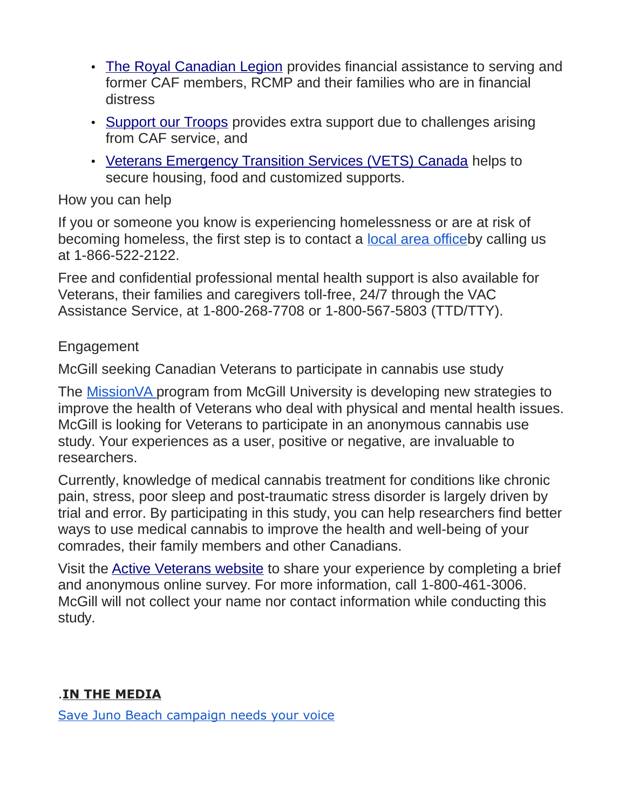- [The Royal Canadian Legion](https://emails.engagementhq.com/ls/click?upn=9vcdD193qA8wVAWAMcxkDc6qGK83SyU10gPXS4YbxOf8dsoy7tLh2aoeaGg16t5FISQORMvcOCSLCLQshpieO5-2FYad-2FlGU1V-2FE8m4NtX8U-2FRzJN-2Bq7j9GzsJYZbUdl-2BSFmEa4pYuT4Ug5a2xRzw60uYyA0xatlD9KUt-2BPlPHcaLK-2BAnMcOkhMjI4EEZLaOErEAvJskCd1yZi7HekH7DWJ3yFFJkawao05ClaX75Y8MWioIHnyUJ55LOR0CvUxVVAEZf0dEtMHW9wEgA9npxWKw-3D-3DF_aB_Qr-2FEWZZ2NSxEuYyz1vGYovtWkAk6eSF1GO3rpwK32i2izoLt9ZzbJCgpDVVX8nJWNx-2Fgduh5YF34PxNXW3-2Fqtral8O6jZxIFzCvRJ-2Bht42yXHgM8qhU1qct8DD2lWVEi2bE4yCrj6MPqdEUj-2F51uxaBW7ewTmrbvN-2BELB8iyT2hbegMiS06ZW6s-2BN53-2BcTfRi6AozLJN7B89kFWghZ8E7g-2FJ1rTQmT4U3s2-2F7djeA2uwS1sPYg0rHEYomagonkOrbit3kUYrNha3ljXE2-2Bh3Pw-3D-3D) provides financial assistance to serving and former CAF members, RCMP and their families who are in financial distress
- [Support our Troops](https://emails.engagementhq.com/ls/click?upn=9vcdD193qA8wVAWAMcxkDV92DqkSAFREOnGxGzWegI1x4BqYBF3KJqcaWYuZDebAnweRMXG406r4-2BO1zIsa7o3FwuRCno8BejWmMPP-2B5dIkHMoa20ibbz1FQAZIDG-2FTxLfPp6RIcHs8MAZf9G9TpMFGHAs-2FXnDpw-2FNZ8dHiE9TUkJcXQF87mLLmFUWaoioxz4Z6X3vOD7c4RURky7y-2BXcmensXt5AfXaosxGW9Cr0lt0dz0WEyvQl6ajlsOZZrwPbXaWapQOkKbecjru3bAgrQ-3D-3DRWA0_Qr-2FEWZZ2NSxEuYyz1vGYovtWkAk6eSF1GO3rpwK32i2izoLt9ZzbJCgpDVVX8nJWnGliZ5k21Nga1anVeTp3z8lgvpmY1ok-2BfEoV1BsJ4NG-2BvkHBIDRJ-2FfYfuOvI7-2FdOZZ3TfJJ7hJ4gZsw5rN8Lx9VTsTKDioooz0ujVCNjBUNYBBlzkSjTYRrGiEmzufj0A-2BCz5eIg6QNHtTQq9N-2FbZBe0DPANT1Su4IrMvvaUFYGE837Z6upvFhnqdNCnFVGnGnVaRviABjUK39jeLTUA7Q-3D-3D) provides extra support due to challenges arising from CAF service, and
- [Veterans Emergency Transition Services \(VETS\) Canada](https://emails.engagementhq.com/ls/click?upn=9vcdD193qA8wVAWAMcxkDc8VlmUSl5wBft-2BHpMALzD1831qQ1S3QdsxNk1sXEcLK-2BW670p-2Bk9s-2Fq8vhs-2BbzWRYHYudPHBhNRFAw5ywPas-2BSDJUGcoZ3wKsmC25OOE54yHgUjVgDNgEcsao9NCXg29nEEPaxreZ-2BFOs8jl4EQSTKXEx-2BHHN-2FxzdvBhyDZ7-2F5ea4xtM8cGyM8NKJ2viMC9G0ex7Rh-2B13vzIQ51shE8q1Btd7MlKP008tK77KU6qqbtYI39_Qr-2FEWZZ2NSxEuYyz1vGYovtWkAk6eSF1GO3rpwK32i2izoLt9ZzbJCgpDVVX8nJWBLb-2BysbYBfJ2bI5GVtNJ-2Bb5oSWtuH8RnnZ4eUSE6erj5v1qHmjKteID5wbnoWgPlTpUN82iMYPsC7WwsYllGNMQ5MErxMX4FFv1FtBAVdQ6QTTgjB5q9-2BtxnuzCQ-2FcWhitYtI6wFBwK0iLld-2BCg2Wy-2Fex3cnMb3OTiy9jiP4ftSQzZj6bSbcWNX30PjCezaHSQ9vCANVUtyZE05Yfl3DJw-3D-3D) helps to secure housing, food and customized supports.

#### How you can help

If you or someone you know is experiencing homelessness or are at risk of becoming homeless, the first step is to contact a [local area officeb](https://emails.engagementhq.com/ls/click?upn=9vcdD193qA8wVAWAMcxkDVIHwbevMrQOoPXLdn6t48o79SPBTZJKx19Qvjw5hreKy7XEjFeJQQ4Nhmo7fTHwfOF-2FLKsnxFqe-2BNltJkpJzToDLRQ9MDFx1Zq-2B84Cdwfb2GR6d-2BtjrQ0jIcKtSfn1crxqqyZWdeV-2Byezjdr6QVwj-2BbOdMnySYWlMXSHdES8TEgr7F9nCDMvc8ZyEvZuOSaV58Rc8mhS5kX3DRTuJIcXOPS1nDUll7oMaJ8ODAAmrwHt-Va_Qr-2FEWZZ2NSxEuYyz1vGYovtWkAk6eSF1GO3rpwK32i2izoLt9ZzbJCgpDVVX8nJWzsPw3pqdTa9yEUPlJ-2B51f-2FxBZy8TmGvviRgy-2BLIhkqgqL0QoTT4JMNBjBDb0thwEkQNyLZMXmpGVzn6fukWHgV9z1wuXvTv1eAzzODTLiWV2sjjEcL9u2VmpdVZe6i3KYuwxlyQ-2BSRSHo5mmbmI69rFk76IrmnHGTjCXtmjUBh1XqqccHH9NLCs-2Fo6-2BZLYsxGCz2PM-2F7NuJtr7oS0Rxc0g-3D-3D)y calling us at 1-866-522-2122.

Free and confidential professional mental health support is also available for Veterans, their families and caregivers toll-free, 24/7 through the VAC Assistance Service, at 1-800-268-7708 or 1-800-567-5803 (TTD/TTY).

## Engagement

McGill seeking Canadian Veterans to participate in cannabis use study

The **Mission VA** program from McGill University is developing new strategies to improve the health of Veterans who deal with physical and mental health issues. McGill is looking for Veterans to participate in an anonymous cannabis use study. Your experiences as a user, positive or negative, are invaluable to researchers.

Currently, knowledge of medical cannabis treatment for conditions like chronic pain, stress, poor sleep and post-traumatic stress disorder is largely driven by trial and error. By participating in this study, you can help researchers find better ways to use medical cannabis to improve the health and well-being of your comrades, their family members and other Canadians.

Visit the [Active Veterans website](https://emails.engagementhq.com/ls/click?upn=9vcdD193qA8wVAWAMcxkDcgnFlKphbLsAwOblQ0KiChcnQ1TCZCPIevgP8N3nG4IwnCVmfpnuIIrWnz6N-2Bgzd4lXjNXxJlWUv-2FPCdwB5G2IROPUFGhgM3oFJArvyeppYEv195slvoey5YdNmGkLaUDXwEvu5LwRHx1Q4orPVYAn85NcZ8N-2Fp6hLHfCaIkg6xIZ08nDoE1CLGAXByY-2Fk9hYEg4BzYwdauvOwADhrtGjM-3DZcod_Qr-2FEWZZ2NSxEuYyz1vGYovtWkAk6eSF1GO3rpwK32i2izoLt9ZzbJCgpDVVX8nJWP8aiIJRo57Fyv8U1AwVmvNANeFVWExGLgWApId0BXNB-2FpwjhAqjImzK7Kbo9f69JfRFb1IYVcf3YK41ticEPee1rhgTqjaIQLQ8aXliqJFFtlxL2rrpz5jd9R6r9O-2ByLNHFj8Wma-2Fk73DRuLLS6QYWzAO6INM-2BbTqB-2BxnSeQUXyAlJ3zam-2BDfgPkHqKutU5uJVNv6HswYXdYhXy5XkXmvw-3D-3D) to share your experience by completing a brief and anonymous online survey. For more information, call 1-800-461-3006. McGill will not collect your name nor contact information while conducting this study.

## .**IN THE MEDIA**

[Save Juno Beach campaign needs your voice](http://sm1.multiview.com/t/gcH1AAgbaBPWM2LaQLPA5CWS~WaaCCoFQRUoaaaaCCoBRDJC3vaa?n=zYjVxUtmlckfj~25y6Vkfr.hkn~amp;j=nkXhlghyZoYrX~25AuhYrf.tYz~amp;f=p~amp;r=)